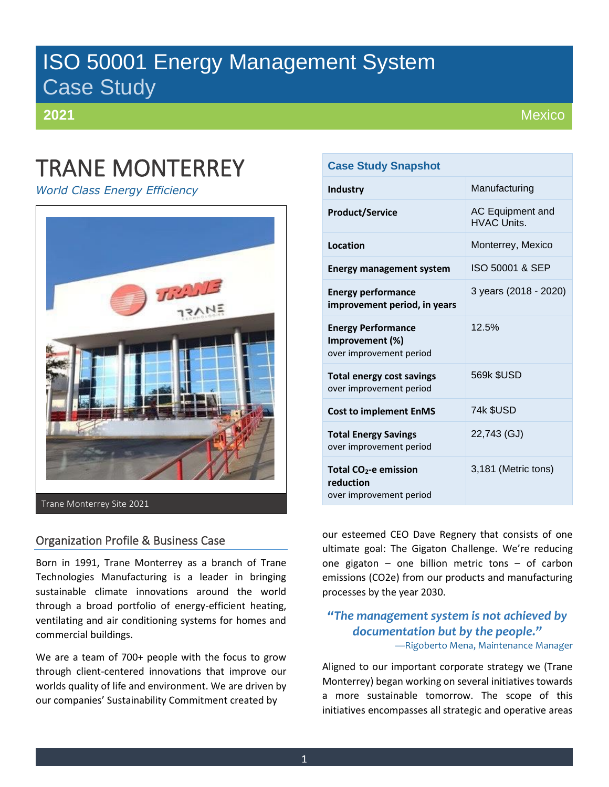# ISO 50001 Energy Management System Case Study

**2021**

# TRANE MONTERREY

*World Class Energy Efficiency*



Trane Monterrey Site 2021

# Organization Profile & Business Case

Born in 1991, Trane Monterrey as a branch of Trane Technologies Manufacturing is a leader in bringing sustainable climate innovations around the world through a broad portfolio of energy-efficient heating, ventilating and air conditioning systems for homes and commercial buildings.

We are a team of 700+ people with the focus to grow through client-centered innovations that improve our worlds quality of life and environment. We are driven by our companies' Sustainability Commitment created by

# **Case Study Snapshot**

| <b>Industry</b>                                                           | Manufacturing                                 |
|---------------------------------------------------------------------------|-----------------------------------------------|
| <b>Product/Service</b>                                                    | <b>AC Equipment and</b><br><b>HVAC Units.</b> |
| Location                                                                  | Monterrey, Mexico                             |
| <b>Energy management system</b>                                           | ISO 50001 & SEP                               |
| <b>Energy performance</b><br>improvement period, in years                 | 3 years (2018 - 2020)                         |
| <b>Energy Performance</b><br>Improvement (%)<br>over improvement period   | 12.5%                                         |
| <b>Total energy cost savings</b><br>over improvement period               | 569k \$USD                                    |
| <b>Cost to implement EnMS</b>                                             | 74k \$USD                                     |
| <b>Total Energy Savings</b><br>over improvement period                    | 22,743 (GJ)                                   |
| Total CO <sub>2</sub> -e emission<br>reduction<br>over improvement period | 3,181 (Metric tons)                           |

our esteemed CEO Dave Regnery that consists of one ultimate goal: The Gigaton Challenge. We're reducing one gigaton – one billion metric tons – of carbon emissions (CO2e) from our products and manufacturing processes by the year 2030.

## *"The management system is not achieved by documentation but by the people."* —Rigoberto Mena, Maintenance Manager

Aligned to our important corporate strategy we (Trane Monterrey) began working on several initiatives towards a more sustainable tomorrow. The scope of this initiatives encompasses all strategic and operative areas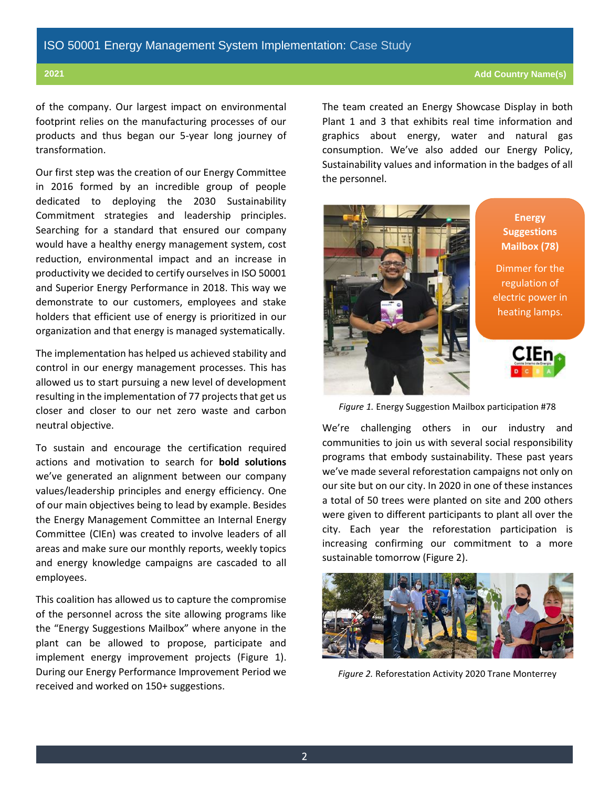#### **2021 Add Country Name(s)**

of the company. Our largest impact on environmental footprint relies on the manufacturing processes of our products and thus began our 5-year long journey of transformation.

Our first step was the creation of our Energy Committee in 2016 formed by an incredible group of people dedicated to deploying the 2030 Sustainability Commitment strategies and leadership principles. Searching for a standard that ensured our company would have a healthy energy management system, cost reduction, environmental impact and an increase in productivity we decided to certify ourselves in ISO 50001 and Superior Energy Performance in 2018. This way we demonstrate to our customers, employees and stake holders that efficient use of energy is prioritized in our organization and that energy is managed systematically.

The implementation has helped us achieved stability and control in our energy management processes. This has allowed us to start pursuing a new level of development resulting in the implementation of 77 projects that get us closer and closer to our net zero waste and carbon neutral objective.

To sustain and encourage the certification required actions and motivation to search for **bold solutions** we've generated an alignment between our company values/leadership principles and energy efficiency. One of our main objectives being to lead by example. Besides the Energy Management Committee an Internal Energy Committee (CIEn) was created to involve leaders of all areas and make sure our monthly reports, weekly topics and energy knowledge campaigns are cascaded to all employees.

This coalition has allowed us to capture the compromise of the personnel across the site allowing programs like the "Energy Suggestions Mailbox" where anyone in the plant can be allowed to propose, participate and implement energy improvement projects (Figure 1). During our Energy Performance Improvement Period we received and worked on 150+ suggestions.

The team created an Energy Showcase Display in both Plant 1 and 3 that exhibits real time information and graphics about energy, water and natural gas consumption. We've also added our Energy Policy, Sustainability values and information in the badges of all the personnel.



**Energy Suggestions Mailbox (78)** 

Dimmer for the regulation of electric power in heating lamps.



*Figure 1.* Energy Suggestion Mailbox participation #78

We're challenging others in our industry and communities to join us with several social responsibility programs that embody sustainability. These past years we've made several reforestation campaigns not only on our site but on our city. In 2020 in one of these instances a total of 50 trees were planted on site and 200 others were given to different participants to plant all over the city. Each year the reforestation participation is increasing confirming our commitment to a more sustainable tomorrow (Figure 2).



*Figure 2.* Reforestation Activity 2020 Trane Monterrey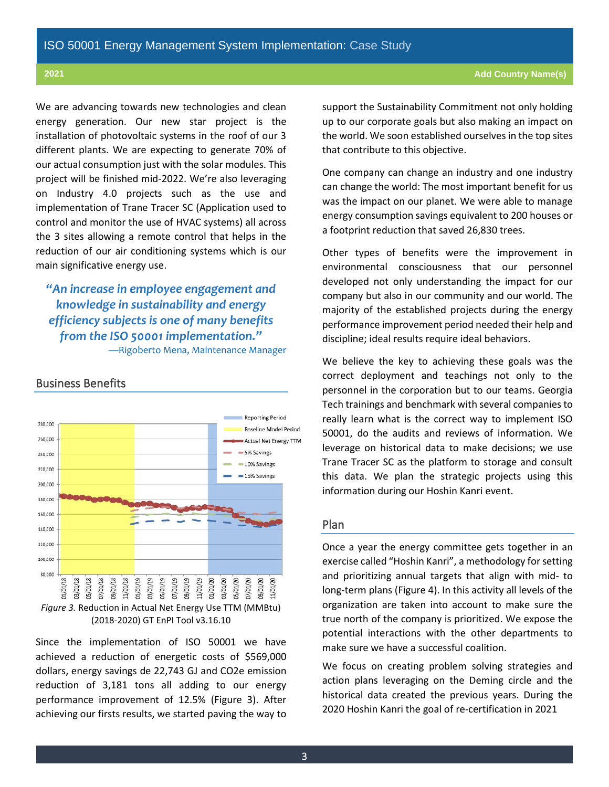We are advancing towards new technologies and clean energy generation. Our new star project is the installation of photovoltaic systems in the roof of our 3 different plants. We are expecting to generate 70% of our actual consumption just with the solar modules. This project will be finished mid-2022. We're also leveraging on Industry 4.0 projects such as the use and implementation of Trane Tracer SC (Application used to control and monitor the use of HVAC systems) all across the 3 sites allowing a remote control that helps in the reduction of our air conditioning systems which is our main significative energy use.

*"An increase in employee engagement and knowledge in sustainability and energy efficiency subjects is one of many benefits from the ISO 50001 implementation."* —Rigoberto Mena, Maintenance Manager

Business Benefits



#### (2018-2020) GT EnPI Tool v3.16.10

Since the implementation of ISO 50001 we have achieved a reduction of energetic costs of \$569,000 dollars, energy savings de 22,743 GJ and CO2e emission reduction of 3,181 tons all adding to our energy performance improvement of 12.5% (Figure 3). After achieving our firsts results, we started paving the way to support the Sustainability Commitment not only holding up to our corporate goals but also making an impact on the world. We soon established ourselves in the top sites that contribute to this objective.

One company can change an industry and one industry can change the world: The most important benefit for us was the impact on our planet. We were able to manage energy consumption savings equivalent to 200 houses or a footprint reduction that saved 26,830 trees.

Other types of benefits were the improvement in environmental consciousness that our personnel developed not only understanding the impact for our company but also in our community and our world. The majority of the established projects during the energy performance improvement period needed their help and discipline; ideal results require ideal behaviors.

We believe the key to achieving these goals was the correct deployment and teachings not only to the personnel in the corporation but to our teams. Georgia Tech trainings and benchmark with several companies to really learn what is the correct way to implement ISO 50001, do the audits and reviews of information. We leverage on historical data to make decisions; we use Trane Tracer SC as the platform to storage and consult this data. We plan the strategic projects using this information during our Hoshin Kanri event.

### Plan

Once a year the energy committee gets together in an exercise called "Hoshin Kanri", a methodology for setting and prioritizing annual targets that align with mid- to long-term plans (Figure 4). In this activity all levels of the organization are taken into account to make sure the true north of the company is prioritized. We expose the potential interactions with the other departments to make sure we have a successful coalition.

We focus on creating problem solving strategies and action plans leveraging on the Deming circle and the historical data created the previous years. During the 2020 Hoshin Kanri the goal of re-certification in 2021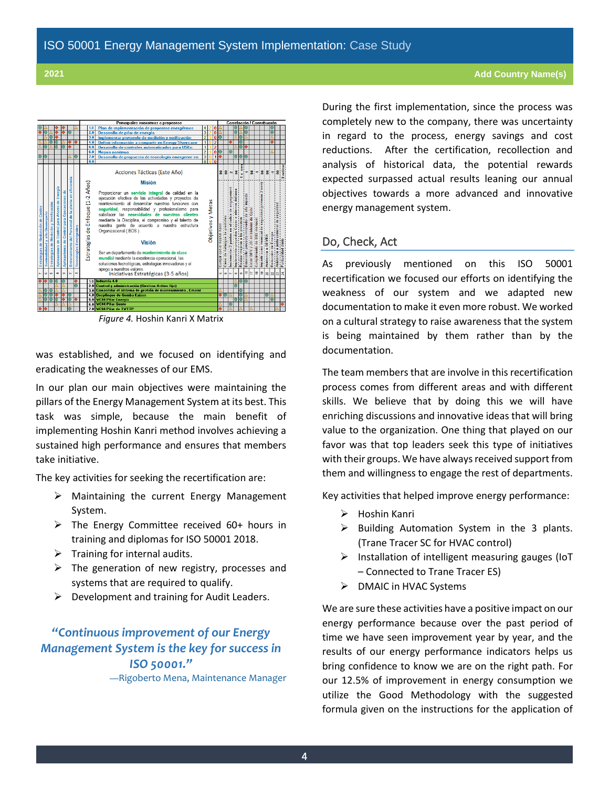

*Figure 4.* Hoshin Kanri X Matrix

was established, and we focused on identifying and eradicating the weaknesses of our EMS.

In our plan our main objectives were maintaining the pillars of the Energy Management System at its best. This task was simple, because the main benefit of implementing Hoshin Kanri method involves achieving a sustained high performance and ensures that members take initiative.

The key activities for seeking the recertification are:

- ➢ Maintaining the current Energy Management System.
- ➢ The Energy Committee received 60+ hours in training and diplomas for ISO 50001 2018.
- $\triangleright$  Training for internal audits.
- $\triangleright$  The generation of new registry, processes and systems that are required to qualify.
- $\triangleright$  Development and training for Audit Leaders.

## *"Continuous improvement of our Energy Management System is the key for success in ISO 50001."* —Rigoberto Mena, Maintenance Manager

During the first implementation, since the process was completely new to the company, there was uncertainty in regard to the process, energy savings and cost reductions. After the certification, recollection and analysis of historical data, the potential rewards expected surpassed actual results leaning our annual objectives towards a more advanced and innovative energy management system.

#### Do, Check, Act

As previously mentioned on this ISO 50001 recertification we focused our efforts on identifying the weakness of our system and we adapted new documentation to make it even more robust. We worked on a cultural strategy to raise awareness that the system is being maintained by them rather than by the documentation.

The team members that are involve in this recertification process comes from different areas and with different skills. We believe that by doing this we will have enriching discussions and innovative ideas that will bring value to the organization. One thing that played on our favor was that top leaders seek this type of initiatives with their groups. We have always received support from them and willingness to engage the rest of departments.

Key activities that helped improve energy performance:

- ➢ Hoshin Kanri
- ➢ Building Automation System in the 3 plants. (Trane Tracer SC for HVAC control)
- ➢ Installation of intelligent measuring gauges (IoT – Connected to Trane Tracer ES)
- ➢ DMAIC in HVAC Systems

We are sure these activities have a positive impact on our energy performance because over the past period of time we have seen improvement year by year, and the results of our energy performance indicators helps us bring confidence to know we are on the right path. For our 12.5% of improvement in energy consumption we utilize the Good Methodology with the suggested formula given on the instructions for the application of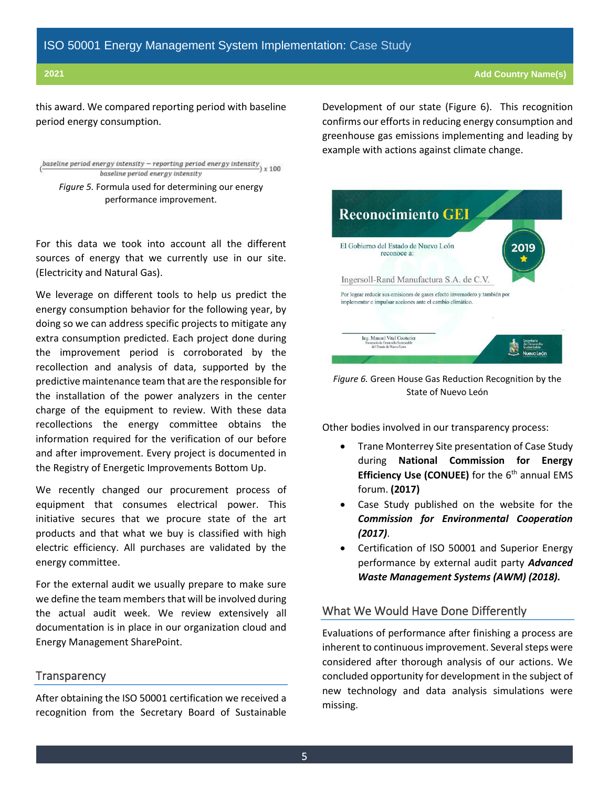this award. We compared reporting period with baseline period energy consumption.

```
baseline period energy intensity – reporting period energy intensity \frac{1}{2} x 100
            baseline period energy intensity
Figure 5. Formula used for determining our energy
```
performance improvement.

For this data we took into account all the different sources of energy that we currently use in our site. (Electricity and Natural Gas).

We leverage on different tools to help us predict the energy consumption behavior for the following year, by doing so we can address specific projects to mitigate any extra consumption predicted. Each project done during the improvement period is corroborated by the recollection and analysis of data, supported by the predictive maintenance team that are the responsible for the installation of the power analyzers in the center charge of the equipment to review. With these data recollections the energy committee obtains the information required for the verification of our before and after improvement. Every project is documented in the Registry of Energetic Improvements Bottom Up.

We recently changed our procurement process of equipment that consumes electrical power. This initiative secures that we procure state of the art products and that what we buy is classified with high electric efficiency. All purchases are validated by the energy committee.

For the external audit we usually prepare to make sure we define the team members that will be involved during the actual audit week. We review extensively all documentation is in place in our organization cloud and Energy Management SharePoint.

#### **Transparency**

After obtaining the ISO 50001 certification we received a recognition from the Secretary Board of Sustainable Development of our state (Figure 6). This recognition confirms our efforts in reducing energy consumption and greenhouse gas emissions implementing and leading by example with actions against climate change.



*Figure 6.* Green House Gas Reduction Recognition by the State of Nuevo León

Other bodies involved in our transparency process:

- Trane Monterrey Site presentation of Case Study during **National Commission for Energy Efficiency Use (CONUEE)** for the 6<sup>th</sup> annual EMS forum. **(2017)**
- Case Study published on the website for the *Commission for Environmental Cooperation (2017)*.
- Certification of ISO 50001 and Superior Energy performance by external audit party *Advanced Waste Management Systems (AWM) (2018).*

### What We Would Have Done Differently

Evaluations of performance after finishing a process are inherent to continuous improvement. Several steps were considered after thorough analysis of our actions. We concluded opportunity for development in the subject of new technology and data analysis simulations were missing.